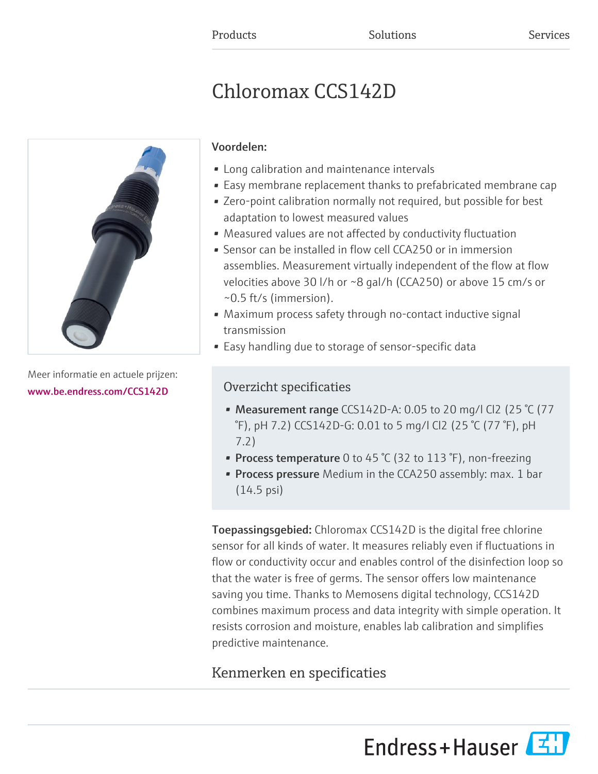# Chloromax CCS142D



Meer informatie en actuele prijzen: [www.be.endress.com/CCS142D](https://www.be.endress.com/CCS142D)

# Voordelen:

- Long calibration and maintenance intervals
- Easy membrane replacement thanks to prefabricated membrane cap
- Zero-point calibration normally not required, but possible for best adaptation to lowest measured values
- Measured values are not affected by conductivity fluctuation
- Sensor can be installed in flow cell CCA250 or in immersion assemblies. Measurement virtually independent of the flow at flow velocities above 30 l/h or ~8 gal/h (CCA250) or above 15 cm/s or ~0.5 ft/s (immersion).
- Maximum process safety through no-contact inductive signal transmission
- Easy handling due to storage of sensor-specific data

# Overzicht specificaties

- Measurement range CCS142D-A: 0.05 to 20 mg/l Cl2 (25  $°C$  (77 °F), pH 7.2) CCS142D-G: 0.01 to 5 mg/l Cl2 (25 °C (77 °F), pH 7.2)
- Process temperature 0 to 45  $°C$  (32 to 113  $°F$ ), non-freezing
- **Process pressure** Medium in the CCA250 assembly: max. 1 bar (14.5 psi)

Toepassingsgebied: Chloromax CCS142D is the digital free chlorine sensor for all kinds of water. It measures reliably even if fluctuations in flow or conductivity occur and enables control of the disinfection loop so that the water is free of germs. The sensor offers low maintenance saving you time. Thanks to Memosens digital technology, CCS142D combines maximum process and data integrity with simple operation. It resists corrosion and moisture, enables lab calibration and simplifies predictive maintenance.

# Kenmerken en specificaties

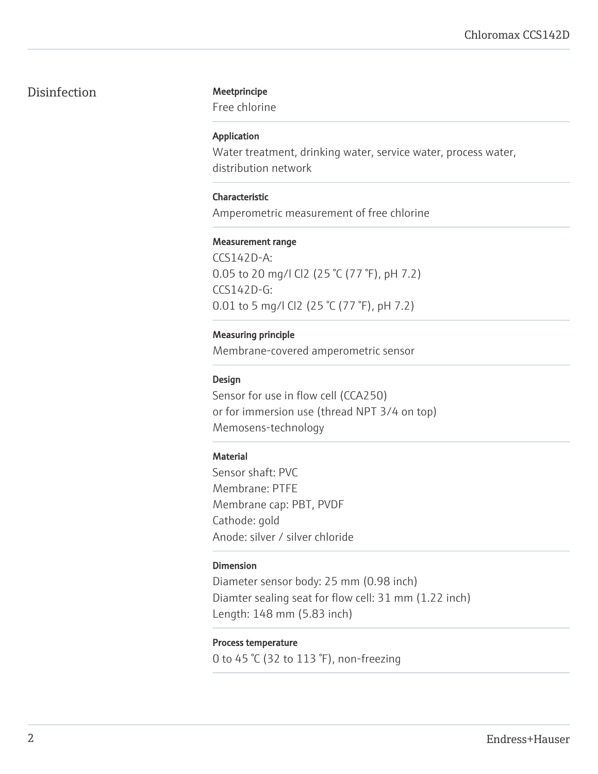### Disinfection Meetprincipe

Free chlorine

#### Application

Water treatment, drinking water, service water, process water, distribution network

#### Characteristic

Amperometric measurement of free chlorine

#### Measurement range

CCS142D-A: 0.05 to 20 mg/l Cl2 (25 °C (77 °F), pH 7.2) CCS142D-G: 0.01 to 5 mg/l Cl2 (25 °C (77 °F), pH 7.2)

#### Measuring principle

Membrane-covered amperometric sensor

#### Design

Sensor for use in flow cell (CCA250) or for immersion use (thread NPT 3/4 on top) Memosens-technology

#### **Material**

Sensor shaft: PVC Membrane: PTFE Membrane cap: PBT, PVDF Cathode: gold Anode: silver / silver chloride

#### Dimension

Diameter sensor body: 25 mm (0.98 inch) Diamter sealing seat for flow cell: 31 mm (1.22 inch) Length: 148 mm (5.83 inch)

### Process temperature

0 to 45 °C (32 to 113 °F), non-freezing